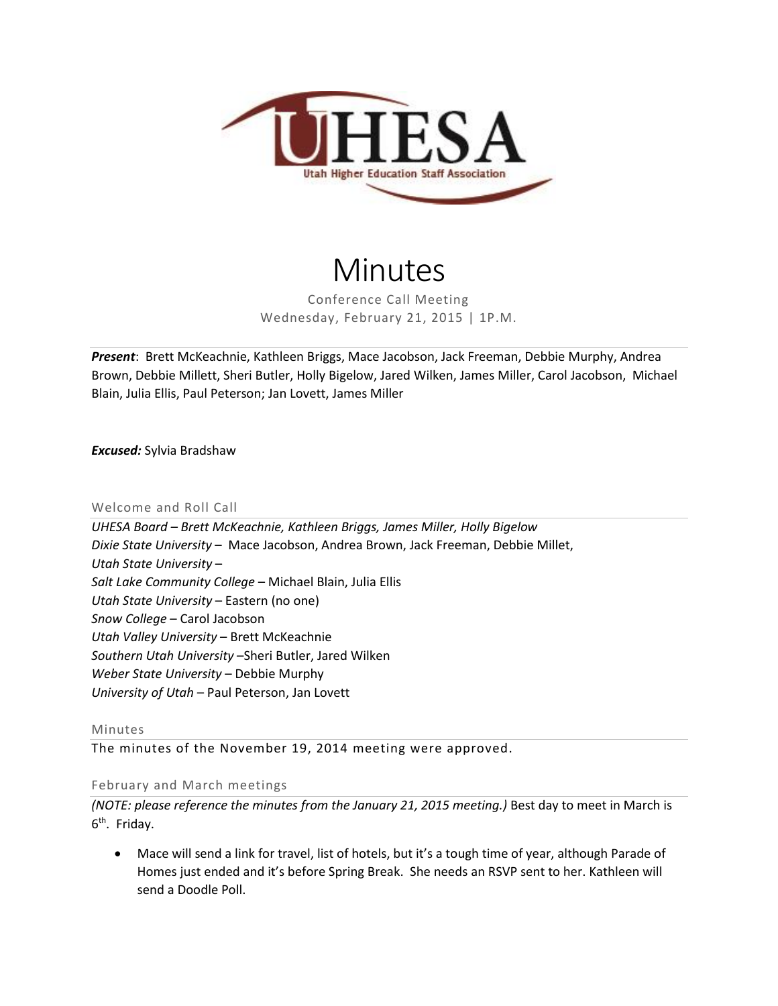

# Minutes

Conference Call Meeting Wednesday, February 21, 2015 | 1P.M.

*Present*: Brett McKeachnie, Kathleen Briggs, Mace Jacobson, Jack Freeman, Debbie Murphy, Andrea Brown, Debbie Millett, Sheri Butler, Holly Bigelow, Jared Wilken, James Miller, Carol Jacobson, Michael Blain, Julia Ellis, Paul Peterson; Jan Lovett, James Miller

*Excused:* Sylvia Bradshaw

### Welcome and Roll Call

*UHESA Board – Brett McKeachnie, Kathleen Briggs, James Miller, Holly Bigelow Dixie State University* – Mace Jacobson, Andrea Brown, Jack Freeman, Debbie Millet, *Utah State University* – *Salt Lake Community College* – Michael Blain, Julia Ellis *Utah State University* – Eastern (no one) *Snow College* – Carol Jacobson *Utah Valley University* – Brett McKeachnie *Southern Utah University* –Sheri Butler, Jared Wilken *Weber State University* – Debbie Murphy *University of Utah* – Paul Peterson, Jan Lovett

Minutes

The minutes of the November 19, 2014 meeting were approved.

February and March meetings

*(NOTE: please reference the minutes from the January 21, 2015 meeting.)* Best day to meet in March is 6<sup>th</sup>. Friday.

 Mace will send a link for travel, list of hotels, but it's a tough time of year, although Parade of Homes just ended and it's before Spring Break. She needs an RSVP sent to her. Kathleen will send a Doodle Poll.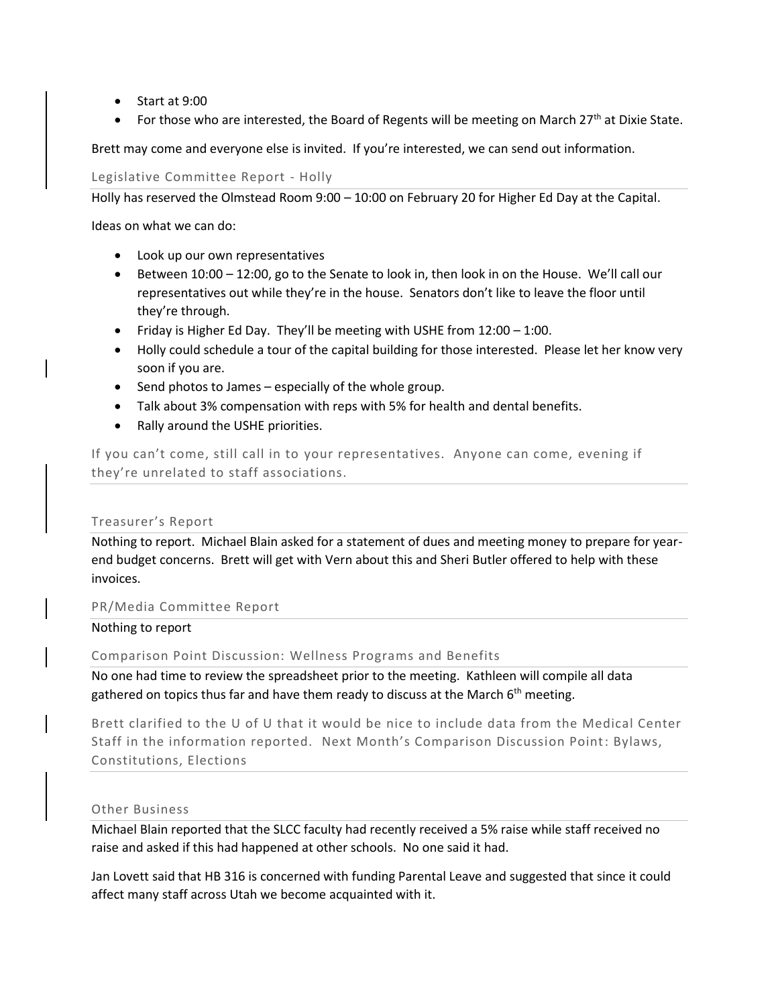- Start at 9:00
- For those who are interested, the Board of Regents will be meeting on March 27<sup>th</sup> at Dixie State.

Brett may come and everyone else is invited. If you're interested, we can send out information.

Legislative Committee Report - Holly

Holly has reserved the Olmstead Room 9:00 – 10:00 on February 20 for Higher Ed Day at the Capital.

Ideas on what we can do:

- Look up our own representatives
- Between 10:00 12:00, go to the Senate to look in, then look in on the House. We'll call our representatives out while they're in the house. Senators don't like to leave the floor until they're through.
- Friday is Higher Ed Day. They'll be meeting with USHE from 12:00 1:00.
- Holly could schedule a tour of the capital building for those interested. Please let her know very soon if you are.
- Send photos to James especially of the whole group.
- Talk about 3% compensation with reps with 5% for health and dental benefits.
- Rally around the USHE priorities.

If you can't come, still call in to your representatives. Anyone can come, evening if they're unrelated to staff associations.

## Treasurer's Report

Nothing to report. Michael Blain asked for a statement of dues and meeting money to prepare for yearend budget concerns. Brett will get with Vern about this and Sheri Butler offered to help with these invoices.

PR/Media Committee Report

## Nothing to report

Comparison Point Discussion: Wellness Programs and Benefits

No one had time to review the spreadsheet prior to the meeting. Kathleen will compile all data gathered on topics thus far and have them ready to discuss at the March  $6<sup>th</sup>$  meeting.

Brett clarified to the U of U that it would be nice to include data from the Medical Center Staff in the information reported. Next Month's Comparison Discussion Point: Bylaws, Constitutions, Elections

## Other Business

Michael Blain reported that the SLCC faculty had recently received a 5% raise while staff received no raise and asked if this had happened at other schools. No one said it had.

Jan Lovett said that HB 316 is concerned with funding Parental Leave and suggested that since it could affect many staff across Utah we become acquainted with it.